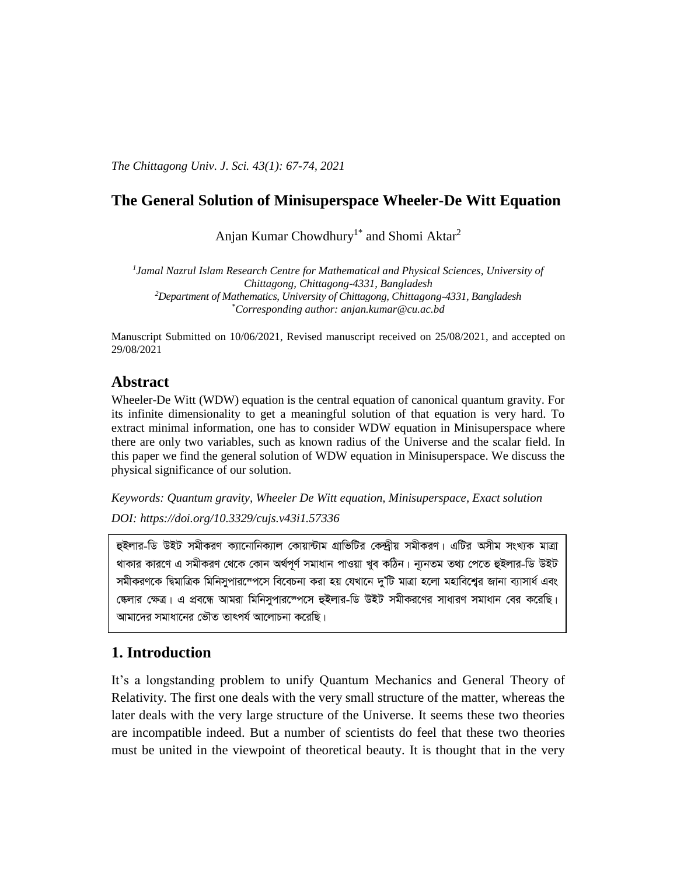*The Chittagong Univ. J. Sci. 43(1): 67-74, 2021*

## **The General Solution of Minisuperspace Wheeler-De Witt Equation**

Anjan Kumar Chowdhury<sup>1\*</sup> and Shomi Aktar<sup>2</sup>

*1 Jamal Nazrul Islam Research Centre for Mathematical and Physical Sciences, University of Chittagong, Chittagong-4331, Bangladesh <sup>2</sup>Department of Mathematics, University of Chittagong, Chittagong-4331, Bangladesh \*Corresponding author: anjan.kumar@cu.ac.bd*

Manuscript Submitted on 10/06/2021, Revised manuscript received on 25/08/2021, and accepted on 29/08/2021

## **Abstract**

Wheeler-De Witt (WDW) equation is the central equation of canonical quantum gravity. For its infinite dimensionality to get a meaningful solution of that equation is very hard. To extract minimal information, one has to consider WDW equation in Minisuperspace where there are only two variables, such as known radius of the Universe and the scalar field. In this paper we find the general solution of WDW equation in Minisuperspace. We discuss the physical significance of our solution.

*Keywords: Quantum gravity, Wheeler De Witt equation, Minisuperspace, Exact solution DOI: [https://doi.org/10.3329/cujs.v43i1.57336](https://doi.org/10.3329/cujs.v43i1.57330)*

হুইলার-ডি উইট সমীকরণ ক্যানোনিক্যাল কোয়ান্টাম গ্রাভিটির কেন্দীয় সমীকরণ। এটির অসীম সংখ্যক মাত্রা থাকার কারণে এ সমীকরণ থেকে কোন অর্থপূর্ণ সমাধান পাওয়া খুব কঠিন। ন্যূনতম তথ্য পেতে হুইলার-ডি উইট সমীকরণকে দ্বিমাত্রিক মিনিসুপারস্পেসে বিবেচনা করা হয় যেখানে দু'টি মাত্রা হলো মহাবিশ্বের জানা ব্যাসার্ধ এবং স্কেলার ক্ষেত্র। এ প্রবন্ধে আমরা মিনিসুপারস্পেসে হুইলার-ডি উইট সমীকরণের সাধারণ সমাধান বের করেছি। আমাদেব সমাধানেব ভৌত তাৎপৰ্য আলোচনা কবেছি।

## **1. Introduction**

It's a longstanding problem to unify Quantum Mechanics and General Theory of Relativity. The first one deals with the very small structure of the matter, whereas the later deals with the very large structure of the Universe. It seems these two theories are incompatible indeed. But a number of scientists do feel that these two theories must be united in the viewpoint of theoretical beauty. It is thought that in the very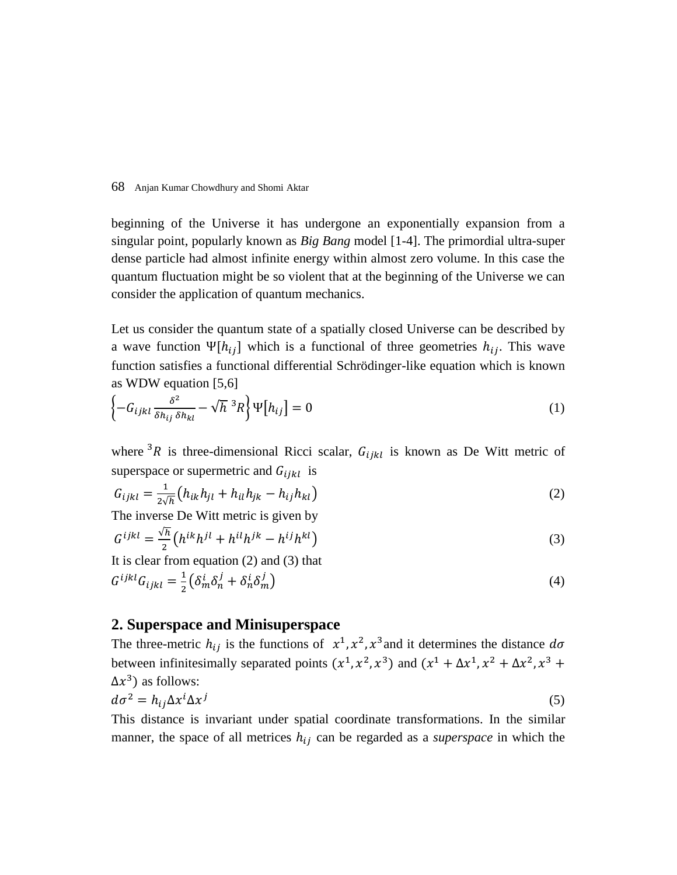beginning of the Universe it has undergone an exponentially expansion from a singular point, popularly known as *Big Bang* model [1-4]. The primordial ultra-super dense particle had almost infinite energy within almost zero volume. In this case the quantum fluctuation might be so violent that at the beginning of the Universe we can consider the application of quantum mechanics.

Let us consider the quantum state of a spatially closed Universe can be described by a wave function  $\Psi[h_{ij}]$  which is a functional of three geometries  $h_{ij}$ . This wave function satisfies a functional differential Schrödinger-like equation which is known as WDW equation [5,6]

$$
\left\{-G_{ijkl}\frac{\delta^2}{\delta h_{ij}\delta h_{kl}} - \sqrt{h}^3 R\right\}\Psi\left[h_{ij}\right] = 0\tag{1}
$$

where <sup>3</sup>R is three-dimensional Ricci scalar,  $G_{ijkl}$  is known as De Witt metric of superspace or supermetric and  $G_{ijkl}$  is

$$
G_{ijkl} = \frac{1}{2\sqrt{h}} \left( h_{ik} h_{jl} + h_{il} h_{jk} - h_{ij} h_{kl} \right)
$$
\nThe inverse De Witt metric is given by

\n
$$
G_{ijkl} = \frac{1}{2\sqrt{h}} \left( h_{ik} h_{jl} + h_{il} h_{jk} - h_{ij} h_{kl} \right)
$$
\n(2)

$$
G^{ijkl} = \frac{\sqrt{h}}{2} \left( h^{ik} h^{jl} + h^{il} h^{jk} - h^{ij} h^{kl} \right)
$$
 (3)

It is clear from equation (2) and (3) that  $G^{ijkl}G_{ijkl}=\frac{1}{2}$  $\frac{1}{2} \left( \delta_m^i \delta_n^j + \delta_n^i \delta_m^j \right)$ ) (4)

#### **2. Superspace and Minisuperspace**

The three-metric  $h_{ij}$  is the functions of  $x^1, x^2, x^3$  and it determines the distance  $d\sigma$ between infinitesimally separated points  $(x^1, x^2, x^3)$  and  $(x^1 + \Delta x^1, x^2 + \Delta x^2, x^3 + \Delta x^3)$  $\Delta x^3$ ) as follows:  $d\sigma^2 = h_{ij} \Delta x^i \Delta x^j$ (5)

This distance is invariant under spatial coordinate transformations. In the similar manner, the space of all metrices  $h_{ij}$  can be regarded as a *superspace* in which the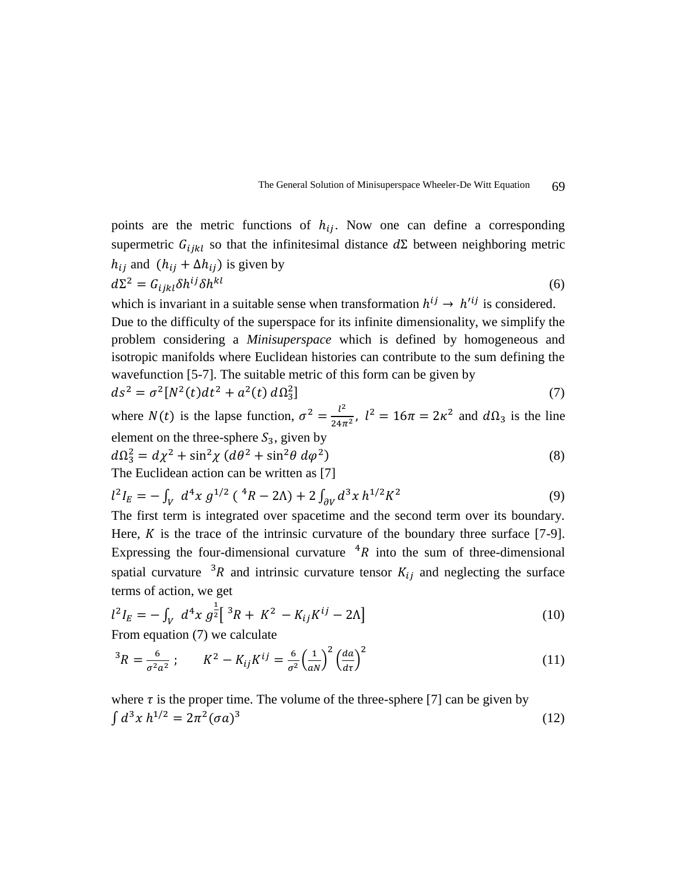

points are the metric functions of  $h_{ij}$ . Now one can define a corresponding supermetric  $G_{ijkl}$  so that the infinitesimal distance  $d\Sigma$  between neighboring metric  $h_{ij}$  and  $(h_{ij} + \Delta h_{ij})$  is given by

$$
d\Sigma^2 = G_{ijkl}\delta h^{ij}\delta h^{kl} \tag{6}
$$

which is invariant in a suitable sense when transformation  $h^{ij} \rightarrow h^{\prime ij}$  is considered. Due to the difficulty of the superspace for its infinite dimensionality, we simplify the problem considering a *Minisuperspace* which is defined by homogeneous and isotropic manifolds where Euclidean histories can contribute to the sum defining the wavefunction [5-7]. The suitable metric of this form can be given by

$$
ds^{2} = \sigma^{2}[N^{2}(t)dt^{2} + a^{2}(t) d\Omega_{3}^{2}]
$$
\n(7)

where  $N(t)$  is the lapse function,  $\sigma^2 = \frac{l^2}{24\pi}$  $\frac{l^2}{24\pi^2}$ ,  $l^2 = 16\pi = 2\kappa^2$  and  $d\Omega_3$  is the line element on the three-sphere  $S_3$ , given by

$$
d\Omega_3^2 = d\chi^2 + \sin^2\chi \left(d\theta^2 + \sin^2\theta \, d\varphi^2\right)
$$
\n(8)

The Euclidean action can be written as [7]

$$
l^2 I_E = -\int_V d^4x \, g^{1/2} \left( \, ^4R - 2\Lambda \right) + 2 \int_{\partial V} d^3x \, h^{1/2} K^2 \tag{9}
$$

The first term is integrated over spacetime and the second term over its boundary. Here,  $K$  is the trace of the intrinsic curvature of the boundary three surface [7-9]. Expressing the four-dimensional curvature  ${}^{4}R$  into the sum of three-dimensional spatial curvature <sup>3</sup>R and intrinsic curvature tensor  $K_{ij}$  and neglecting the surface terms of action, we get

$$
l^2 I_E = -\int_V d^4x \, g^{\frac{1}{2}} \left[ \, {}^3R + K^2 - K_{ij} K^{ij} - 2\Lambda \right] \tag{10}
$$

From equation (7) we calculate

$$
{}^{3}R = \frac{6}{\sigma^{2}a^{2}}; \qquad K^{2} - K_{ij}K^{ij} = \frac{6}{\sigma^{2}} \left(\frac{1}{aN}\right)^{2} \left(\frac{da}{d\tau}\right)^{2}
$$
(11)

where  $\tau$  is the proper time. The volume of the three-sphere [7] can be given by  $\int d^3x h^{1/2} = 2\pi^2 (\sigma a)^3$ (12)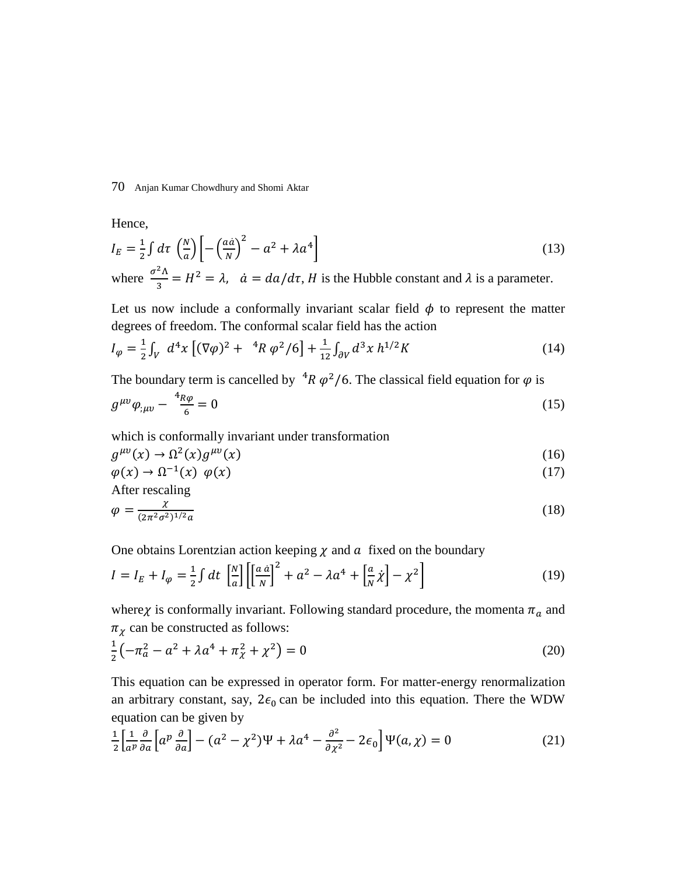Hence,

$$
I_E = \frac{1}{2} \int d\tau \, \left(\frac{N}{a}\right) \left[ -\left(\frac{a\dot{a}}{N}\right)^2 - a^2 + \lambda a^4 \right] \tag{13}
$$

where  $\frac{\sigma^2 \Lambda}{2}$  $\frac{d^{2}A}{3} = H^{2} = \lambda$ ,  $\dot{a} = da/d\tau$ , *H* is the Hubble constant and  $\lambda$  is a parameter.

Let us now include a conformally invariant scalar field  $\phi$  to represent the matter degrees of freedom. The conformal scalar field has the action

$$
I_{\varphi} = \frac{1}{2} \int_{V} d^{4}x \left[ (\nabla \varphi)^{2} + {}^{4}R \varphi^{2} / 6 \right] + \frac{1}{12} \int_{\partial V} d^{3}x \, h^{1/2} K \tag{14}
$$

The boundary term is cancelled by  ${}^{4}R \varphi^2/6$ . The classical field equation for  $\varphi$  is

$$
g^{\mu\nu}\varphi_{;\mu\nu} - \frac{4_R \varphi}{6} = 0 \tag{15}
$$

which is conformally invariant under transformation

$$
g^{\mu\nu}(x) \to \Omega^2(x) g^{\mu\nu}(x) \tag{16}
$$

$$
\varphi(x) \to \Omega^{-1}(x) \varphi(x) \tag{17}
$$

After rescaling

$$
\varphi = \frac{\chi}{(2\pi^2 \sigma^2)^{1/2} a} \tag{18}
$$

One obtains Lorentzian action keeping  $\chi$  and  $\alpha$  fixed on the boundary

$$
I = I_E + I_\varphi = \frac{1}{2} \int dt \, \left[ \frac{N}{a} \right] \left[ \left[ \frac{a \dot{a}}{N} \right]^2 + a^2 - \lambda a^4 + \left[ \frac{a}{N} \dot{\chi} \right] - \chi^2 \right] \tag{19}
$$

where  $\chi$  is conformally invariant. Following standard procedure, the momenta  $\pi_a$  and  $\pi_{\chi}$  can be constructed as follows:

$$
\frac{1}{2}\left(-\pi_a^2 - a^2 + \lambda a^4 + \pi_\chi^2 + \chi^2\right) = 0\tag{20}
$$

This equation can be expressed in operator form. For matter-energy renormalization an arbitrary constant, say,  $2\epsilon_0$  can be included into this equation. There the WDW equation can be given by

$$
\frac{1}{2} \left[ \frac{1}{a^p} \frac{\partial}{\partial a} \left[ a^p \frac{\partial}{\partial a} \right] - (a^2 - \chi^2) \Psi + \lambda a^4 - \frac{\partial^2}{\partial \chi^2} - 2\epsilon_0 \right] \Psi(a, \chi) = 0 \tag{21}
$$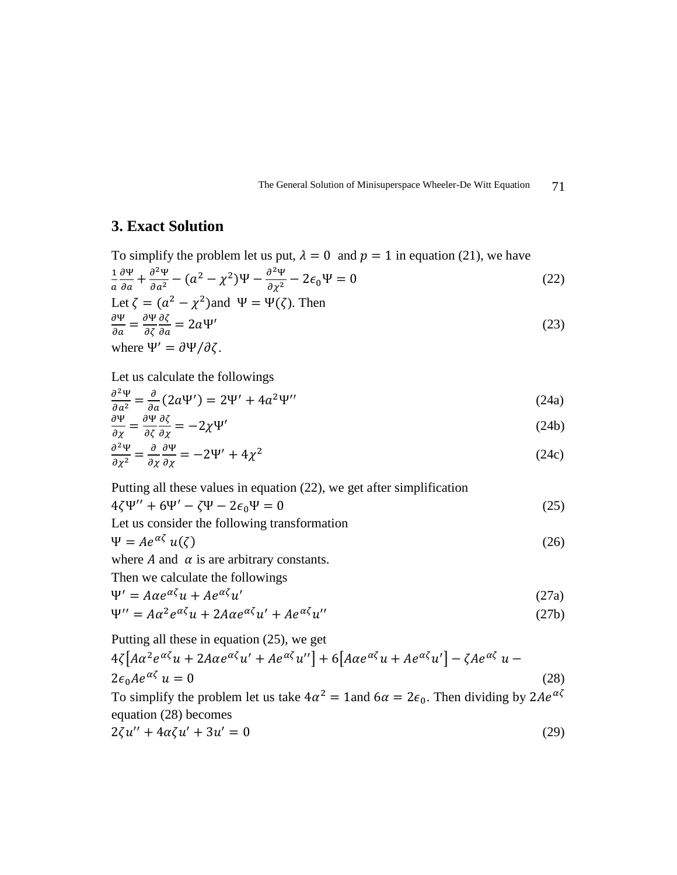The General Solution of Minisuperspace Wheeler-De Witt Equation 71

# **3. Exact Solution**

To simplify the problem let us put,  $\lambda = 0$  and  $p = 1$  in equation (21), we have

$$
\frac{1}{a}\frac{\partial \Psi}{\partial a} + \frac{\partial^2 \Psi}{\partial a^2} - (a^2 - \chi^2)\Psi - \frac{\partial^2 \Psi}{\partial \chi^2} - 2\epsilon_0\Psi = 0
$$
\n
$$
\text{Let } \zeta = (a^2 - \chi^2) \text{ and } \Psi = \Psi(\zeta). \text{ Then}
$$
\n(22)

$$
\frac{\partial \Psi}{\partial a} = \frac{\partial \Psi}{\partial \zeta} \frac{\partial \zeta}{\partial a} = 2a\Psi'
$$
\nwhere  $\Psi' = \partial \Psi / \partial \zeta$ . (23)

Let us calculate the followings

$$
\frac{\partial^2 \Psi}{\partial a^2} = \frac{\partial}{\partial a} (2a\Psi') = 2\Psi' + 4a^2\Psi'' \tag{24a}
$$

$$
\frac{\partial \Psi}{\partial \chi} = \frac{\partial \Psi}{\partial \zeta} \frac{\partial \zeta}{\partial \chi} = -2\chi \Psi'
$$
\n(24b)

$$
\frac{\partial^2 \Psi}{\partial \chi^2} = \frac{\partial}{\partial \chi} \frac{\partial \Psi}{\partial \chi} = -2\Psi' + 4\chi^2
$$
 (24c)

Putting all these values in equation (22), we get after simplification

$$
4\zeta\Psi'' + 6\Psi' - \zeta\Psi - 2\epsilon_0\Psi = 0
$$
  
Let us consider the following transformation

$$
\Psi = Ae^{\alpha\zeta} u(\zeta) \tag{26}
$$

where  $A$  and  $\alpha$  is are arbitrary constants.

Then we calculate the followings

$$
\Psi' = A\alpha e^{\alpha \zeta} u + A e^{\alpha \zeta} u'
$$
 (27a)

$$
\Psi^{\prime\prime} = A\alpha^2 e^{\alpha\zeta} u + 2A\alpha e^{\alpha\zeta} u^{\prime} + A e^{\alpha\zeta} u^{\prime\prime}
$$
 (27b)

Putting all these in equation (25), we get

$$
4\zeta \left[ A\alpha^2 e^{\alpha\zeta} u + 2A\alpha e^{\alpha\zeta} u' + Ae^{\alpha\zeta} u'' \right] + 6\left[ A\alpha e^{\alpha\zeta} u + Ae^{\alpha\zeta} u' \right] - \zeta A e^{\alpha\zeta} u - 2\epsilon_0 A e^{\alpha\zeta} u = 0
$$
\n(28)

To simplify the problem let us take  $4\alpha^2 = 1$  and  $6\alpha = 2\epsilon_0$ . Then dividing by  $2Ae^{\alpha\zeta}$ equation (28) becomes

$$
2\zeta u'' + 4\alpha\zeta u' + 3u' = 0\tag{29}
$$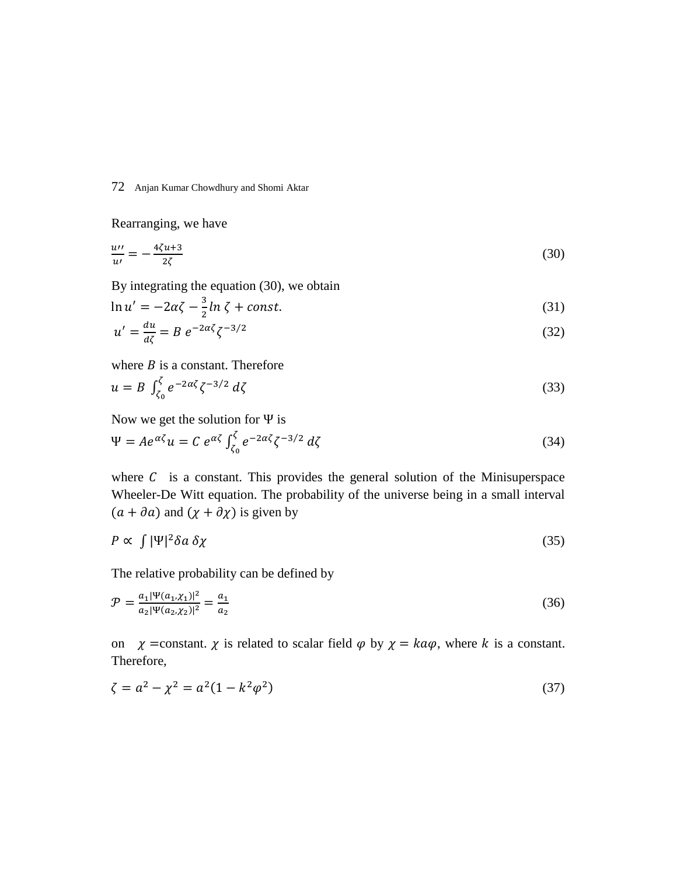Rearranging, we have

$$
\frac{uv}{u'} = -\frac{4\zeta u + 3}{2\zeta} \tag{30}
$$

By integrating the equation (30), we obtain

$$
\ln u' = -2\alpha \zeta - \frac{3}{2}\ln \zeta + const. \tag{31}
$$

$$
u' = \frac{du}{d\zeta} = B e^{-2\alpha\zeta} \zeta^{-3/2}
$$
\n(32)

where  $B$  is a constant. Therefore

$$
u = B \int_{\zeta_0}^{\zeta} e^{-2\alpha \zeta} \zeta^{-3/2} d\zeta
$$
\n(33)

Now we get the solution for Ψ is

$$
\Psi = Ae^{\alpha\zeta}u = C e^{\alpha\zeta} \int_{\zeta_0}^{\zeta} e^{-2\alpha\zeta} \zeta^{-3/2} d\zeta
$$
\n(34)

where  $C$  is a constant. This provides the general solution of the Minisuperspace Wheeler-De Witt equation. The probability of the universe being in a small interval  $(a + \partial a)$  and  $(\chi + \partial \chi)$  is given by

$$
P \propto \int |\Psi|^2 \delta a \, \delta \chi \tag{35}
$$

The relative probability can be defined by

$$
\mathcal{P} = \frac{a_1 |\Psi(a_1, \chi_1)|^2}{a_2 |\Psi(a_2, \chi_2)|^2} = \frac{a_1}{a_2} \tag{36}
$$

on  $\chi$  =constant.  $\chi$  is related to scalar field  $\varphi$  by  $\chi = ka\varphi$ , where k is a constant. Therefore,

$$
\zeta = a^2 - \chi^2 = a^2(1 - k^2 \varphi^2) \tag{37}
$$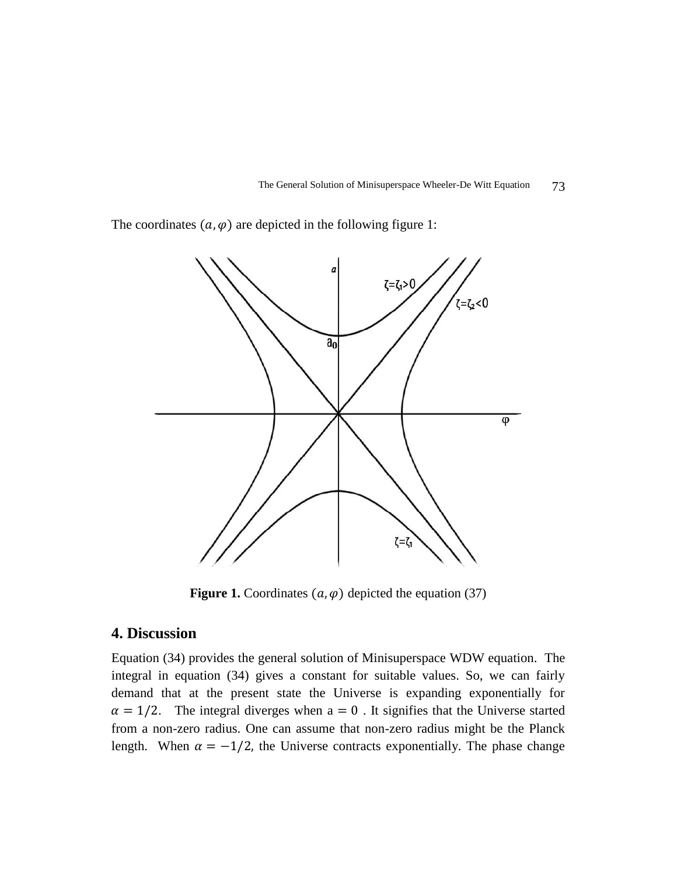The General Solution of Minisuperspace Wheeler-De Witt Equation 73

The coordinates  $(a, \varphi)$  are depicted in the following figure 1:



**Figure 1.** Coordinates  $(a, \varphi)$  depicted the equation (37)

# **4. Discussion**

Equation (34) provides the general solution of Minisuperspace WDW equation. The integral in equation (34) gives a constant for suitable values. So, we can fairly demand that at the present state the Universe is expanding exponentially for  $\alpha = 1/2$ . The integral diverges when  $a = 0$ . It signifies that the Universe started from a non-zero radius. One can assume that non-zero radius might be the Planck length. When  $\alpha = -1/2$ , the Universe contracts exponentially. The phase change